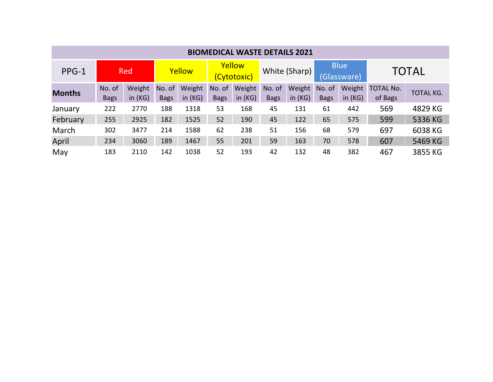| <b>BIOMEDICAL WASTE DETAILS 2021</b> |             |           |             |           |                       |           |               |           |                            |           |                  |                  |
|--------------------------------------|-------------|-----------|-------------|-----------|-----------------------|-----------|---------------|-----------|----------------------------|-----------|------------------|------------------|
| PPG-1                                | <b>Red</b>  |           | Yellow      |           | Yellow<br>(Cytotoxic) |           | White (Sharp) |           | <b>Blue</b><br>(Glassware) |           | <b>TOTAL</b>     |                  |
| <b>Months</b>                        | No. of      | Weight    | No. of      | Weight    | No. of                | Weight    | No. of        | Weight    | No. of                     | Weight    | <b>TOTAL No.</b> | <b>TOTAL KG.</b> |
|                                      | <b>Bags</b> | in $(KG)$ | <b>Bags</b> | in $(KG)$ | <b>Bags</b>           | in $(KG)$ | <b>Bags</b>   | in $(KG)$ | <b>Bags</b>                | in $(KG)$ | of Bags          |                  |
| January                              | 222         | 2770      | 188         | 1318      | 53                    | 168       | 45            | 131       | 61                         | 442       | 569              | 4829 KG          |
| February                             | 255         | 2925      | 182         | 1525      | 52                    | 190       | 45            | 122       | 65                         | 575       | 599              | 5336 KG          |
| March                                | 302         | 3477      | 214         | 1588      | 62                    | 238       | 51            | 156       | 68                         | 579       | 697              | 6038 KG          |
| April                                | 234         | 3060      | 189         | 1467      | 55                    | 201       | 59            | 163       | 70                         | 578       | 607              | 5469 KG          |
| May                                  | 183         | 2110      | 142         | 1038      | 52                    | 193       | 42            | 132       | 48                         | 382       | 467              | 3855 KG          |